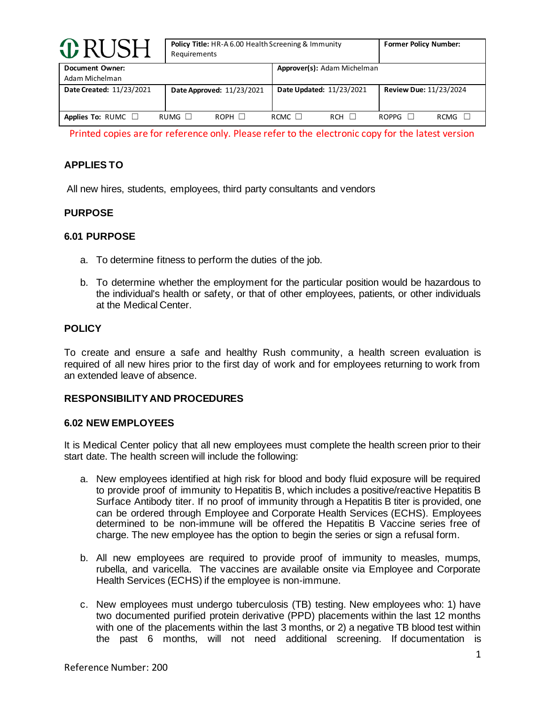| <b>ORUSH</b>                             | <b>Policy Title: HR-A 6.00 Health Screening &amp; Immunity</b><br>Requirements | <b>Former Policy Number:</b> |                               |
|------------------------------------------|--------------------------------------------------------------------------------|------------------------------|-------------------------------|
| <b>Document Owner:</b><br>Adam Michelman |                                                                                | Approver(s): Adam Michelman  |                               |
| Date Created: 11/23/2021                 | Date Approved: 11/23/2021                                                      | Date Updated: 11/23/2021     | <b>Review Due: 11/23/2024</b> |
| Applies To: RUMC $\square$               | $RUMG$ $\Box$<br>$ROPH$ $\Box$                                                 | RCMC $\Box$<br>$RCH$ $\Box$  | $ROPPG$ $\Box$<br>RCMG        |

Printed copies are for reference only. Please refer to the electronic copy for the latest version

# **APPLIES TO**

All new hires, students, employees, third party consultants and vendors

#### **PURPOSE**

#### **6.01 PURPOSE**

- a. To determine fitness to perform the duties of the job.
- b. To determine whether the employment for the particular position would be hazardous to the individual's health or safety, or that of other employees, patients, or other individuals at the Medical Center.

## **POLICY**

To create and ensure a safe and healthy Rush community, a health screen evaluation is required of all new hires prior to the first day of work and for employees returning to work from an extended leave of absence.

#### **RESPONSIBILITY AND PROCEDURES**

#### **6.02 NEW EMPLOYEES**

It is Medical Center policy that all new employees must complete the health screen prior to their start date. The health screen will include the following:

- a. New employees identified at high risk for blood and body fluid exposure will be required to provide proof of immunity to Hepatitis B, which includes a positive/reactive Hepatitis B Surface Antibody titer. If no proof of immunity through a Hepatitis B titer is provided, one can be ordered through Employee and Corporate Health Services (ECHS). Employees determined to be non-immune will be offered the Hepatitis B Vaccine series free of charge. The new employee has the option to begin the series or sign a refusal form.
- b. All new employees are required to provide proof of immunity to measles, mumps, rubella, and varicella. The vaccines are available onsite via Employee and Corporate Health Services (ECHS) if the employee is non-immune.
- c. New employees must undergo tuberculosis (TB) testing. New employees who: 1) have two documented purified protein derivative (PPD) placements within the last 12 months with one of the placements within the last 3 months, or 2) a negative TB blood test within the past 6 months, will not need additional screening. If documentation is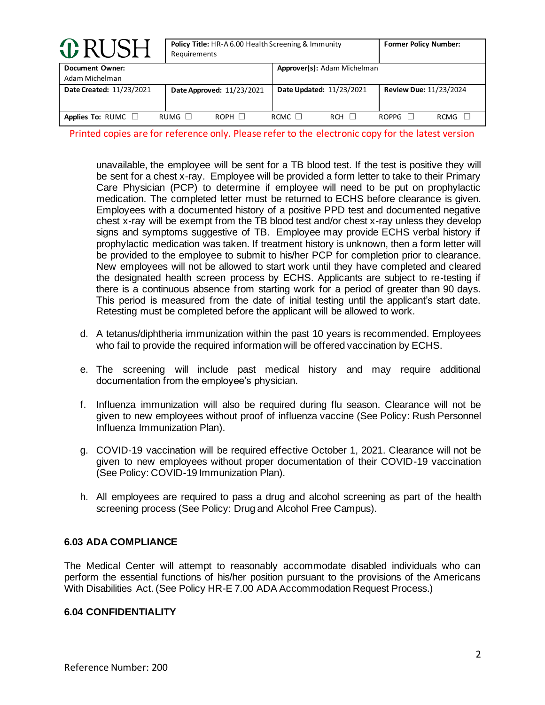| <b>O</b> RUSH                            |             | Policy Title: HR-A 6.00 Health Screening & Immunity<br>Requirements |             |                             |                               | <b>Former Policy Number:</b> |  |
|------------------------------------------|-------------|---------------------------------------------------------------------|-------------|-----------------------------|-------------------------------|------------------------------|--|
| <b>Document Owner:</b><br>Adam Michelman |             |                                                                     |             | Approver(s): Adam Michelman |                               |                              |  |
| Date Created: 11/23/2021                 |             | Date Approved: 11/23/2021                                           |             | Date Updated: 11/23/2021    | <b>Review Due: 11/23/2024</b> |                              |  |
| Applies To: RUMC $\Box$                  | RUMG $\Box$ | $ROPH$ $\Box$                                                       | RCMC $\Box$ | <b>RCH</b>                  | ROPPG                         | RCMG                         |  |

Printed copies are for reference only. Please refer to the electronic copy for the latest version

unavailable, the employee will be sent for a TB blood test. If the test is positive they will be sent for a chest x-ray. Employee will be provided a form letter to take to their Primary Care Physician (PCP) to determine if employee will need to be put on prophylactic medication. The completed letter must be returned to ECHS before clearance is given. Employees with a documented history of a positive PPD test and documented negative chest x-ray will be exempt from the TB blood test and/or chest x-ray unless they develop signs and symptoms suggestive of TB. Employee may provide ECHS verbal history if prophylactic medication was taken. If treatment history is unknown, then a form letter will be provided to the employee to submit to his/her PCP for completion prior to clearance. New employees will not be allowed to start work until they have completed and cleared the designated health screen process by ECHS. Applicants are subject to re-testing if there is a continuous absence from starting work for a period of greater than 90 days. This period is measured from the date of initial testing until the applicant's start date. Retesting must be completed before the applicant will be allowed to work.

- d. A tetanus/diphtheria immunization within the past 10 years is recommended. Employees who fail to provide the required information will be offered vaccination by ECHS.
- e. The screening will include past medical history and may require additional documentation from the employee's physician.
- f. Influenza immunization will also be required during flu season. Clearance will not be given to new employees without proof of influenza vaccine (See Policy: Rush Personnel Influenza Immunization Plan).
- g. COVID-19 vaccination will be required effective October 1, 2021. Clearance will not be given to new employees without proper documentation of their COVID-19 vaccination (See Policy: COVID-19 Immunization Plan).
- h. All employees are required to pass a drug and alcohol screening as part of the health screening process (See Policy: Drug and Alcohol Free Campus).

## **6.03 ADA COMPLIANCE**

The Medical Center will attempt to reasonably accommodate disabled individuals who can perform the essential functions of his/her position pursuant to the provisions of the Americans With Disabilities Act. (See Policy HR-E 7.00 ADA Accommodation Request Process.)

## **6.04 CONFIDENTIALITY**